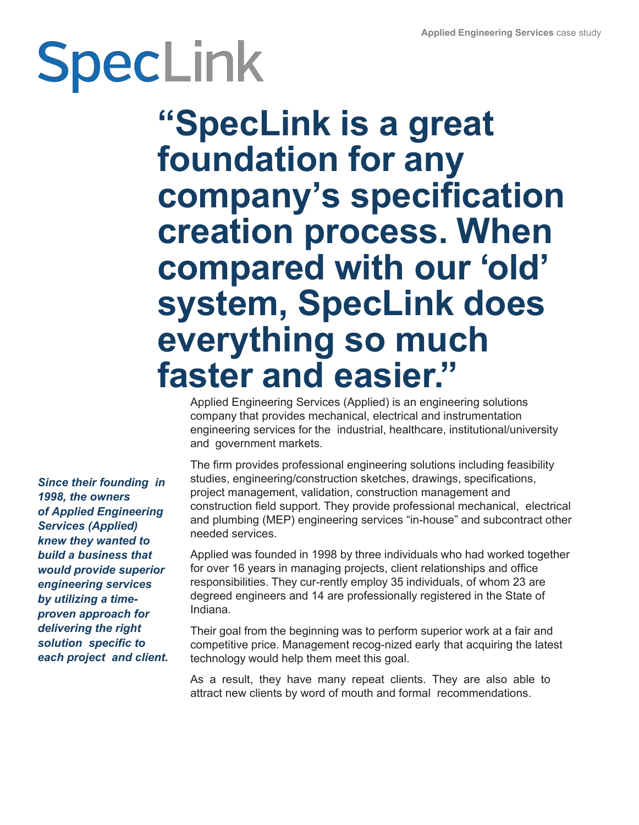# SpecLink

**"SpecLink is a great foundation for any company's specification creation process. When compared with our 'old' system, SpecLink does everything so much faster and easier. "**

Applied Engineering Services (Applied) is an engineering solutions company that provides mechanical, electrical and instrumentation engineering services for the industrial, healthcare, institutional/university and government markets.

The firm provides professional engineering solutions including feasibility studies, engineering/construction sketches, drawings, specifications, project management, validation, construction management and construction field support. They provide professional mechanical, electrical and plumbing (MEP) engineering services "in-house" and subcontract other needed services.

Applied was founded in 1998 by three individuals who had worked together for over 16 years in managing projects, client relationships and office responsibilities. They cur-rently employ 35 individuals, of whom 23 are degreed engineers and 14 are professionally registered in the State of Indiana.

Their goal from the beginning was to perform superior work at a fair and competitive price. Management recog-nized early that acquiring the latest technology would help them meet this goal.

As a result, they have many repeat clients. They are also able to attract new clients by word of mouth and formal recommendations.

*Since their founding in 1998, the owners of Applied Engineering Services (Applied) knew they wanted to build a business that would provide superior engineering services by utilizing a timeproven approach for delivering the right solution specific to each project and client.*